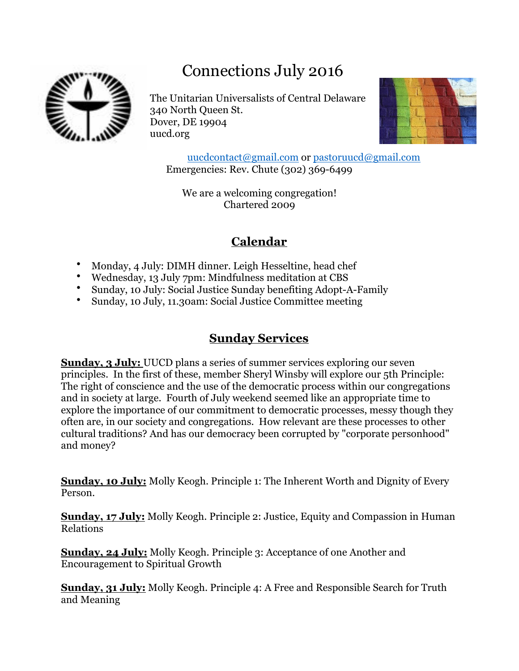# Connections July 2016



The Unitarian Universalists of Central Delaware 340 North Queen St. Dover, DE 19904 uucd.org



[uucdcontact@gmail.com](mailto:uucdcontact@gmail.com) or [pastoruucd@gmail.com](mailto:pastoruucd@gmail.com) Emergencies: Rev. Chute (302) 369-6499

We are a welcoming congregation! Chartered 2009

## **Calendar**

- Monday, 4 July: DIMH dinner. Leigh Hesseltine, head chef
- Wednesday, 13 July 7pm: Mindfulness meditation at CBS
- Sunday, 10 July: Social Justice Sunday benefiting Adopt-A-Family
- Sunday, 10 July, 11.30am: Social Justice Committee meeting

## **Sunday Services**

**Sunday, 3 July:** UUCD plans a series of summer services exploring our seven principles. In the first of these, member Sheryl Winsby will explore our 5th Principle: The right of conscience and the use of the democratic process within our congregations and in society at large. Fourth of July weekend seemed like an appropriate time to explore the importance of our commitment to democratic processes, messy though they often are, in our society and congregations. How relevant are these processes to other cultural traditions? And has our democracy been corrupted by "corporate personhood" and money?

**Sunday, 10 July:** Molly Keogh. Principle 1: The Inherent Worth and Dignity of Every Person.

**Sunday, 17 July:** Molly Keogh. Principle 2: Justice, Equity and Compassion in Human Relations

**Sunday, 24 July:** Molly Keogh. Principle 3: Acceptance of one Another and Encouragement to Spiritual Growth

**Sunday, 31 July:** Molly Keogh. Principle 4: A Free and Responsible Search for Truth and Meaning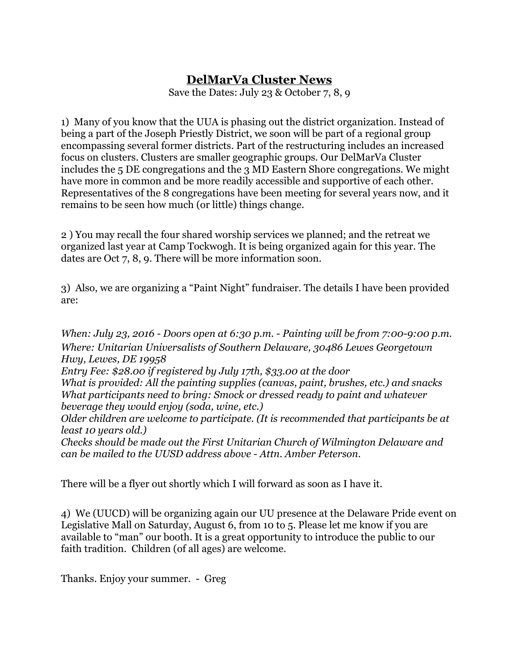### **DelMarVa Cluster News**

Save the Dates: July 23 & October 7, 8, 9

1) Many of you know that the UUA is phasing out the district organization. Instead of being a part of the Joseph Priestly District, we soon will be part of a regional group encompassing several former districts. Part of the restructuring includes an increased focus on clusters. Clusters are smaller geographic groups. Our DelMarVa Cluster includes the 5 DE congregations and the 3 MD Eastern Shore congregations. We might have more in common and be more readily accessible and supportive of each other. Representatives of the 8 congregations have been meeting for several years now, and it remains to be seen how much (or little) things change.

2 ) You may recall the four shared worship services we planned; and the retreat we organized last year at Camp Tockwogh. It is being organized again for this year. The dates are Oct 7, 8, 9. There will be more information soon.

3) Also, we are organizing a "Paint Night" fundraiser. The details I have been provided are:

*When: July 23, 2016 - Doors open at 6:30 p.m. - Painting will be from 7:00-9:00 p.m. Where: Unitarian Universalists of Southern Delaware, 30486 Lewes Georgetown Hwy, Lewes, DE 19958*

*Entry Fee: \$28.00 if registered by July 17th, \$33.00 at the door*

*What is provided: All the painting supplies (canvas, paint, brushes, etc.) and snacks What participants need to bring: Smock or dressed ready to paint and whatever beverage they would enjoy (soda, wine, etc.)*

*Older children are welcome to participate. (It is recommended that participants be at least 10 years old.)*

*Checks should be made out the First Unitarian Church of Wilmington Delaware and can be mailed to the UUSD address above - Attn. Amber Peterson.*

There will be a flyer out shortly which I will forward as soon as I have it.

4) We (UUCD) will be organizing again our UU presence at the Delaware Pride event on Legislative Mall on Saturday, August 6, from 10 to 5. Please let me know if you are available to "man" our booth. It is a great opportunity to introduce the public to our faith tradition. Children (of all ages) are welcome.

Thanks. Enjoy your summer. - Greg